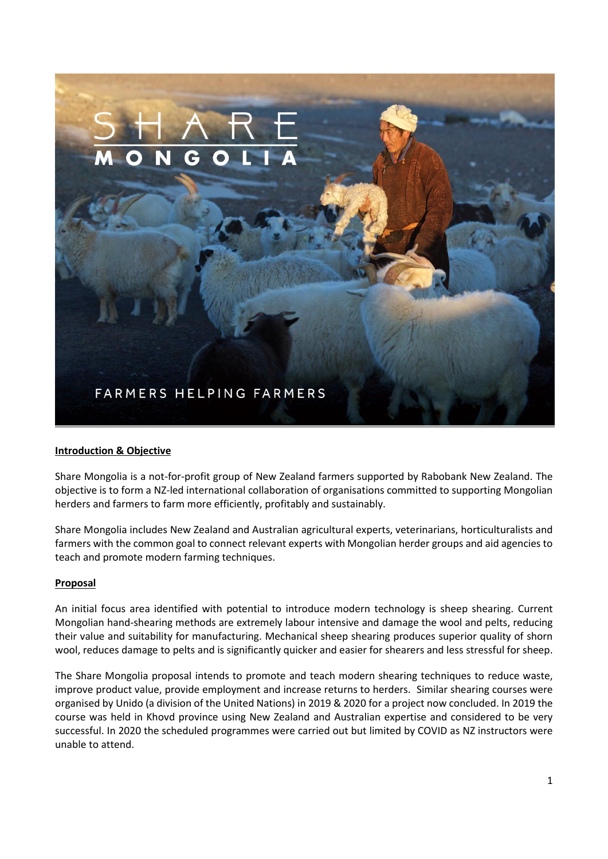

# **Introduction & Objective**

Share Mongolia is a not-for-profit group of New Zealand farmers supported by Rabobank New Zealand. The objective is to form a NZ-led international collaboration of organisations committed to supporting Mongolian herders and farmers to farm more efficiently, profitably and sustainably.

Share Mongolia includes New Zealand and Australian agricultural experts, veterinarians, horticulturalists and farmers with the common goal to connect relevant experts with Mongolian herder groups and aid agencies to teach and promote modern farming techniques.

#### **Proposal**

An initial focus area identified with potential to introduce modern technology is sheep shearing. Current Mongolian hand-shearing methods are extremely labour intensive and damage the wool and pelts, reducing their value and suitability for manufacturing. Mechanical sheep shearing produces superior quality of shorn wool, reduces damage to pelts and is significantly quicker and easier for shearers and less stressful for sheep.

The Share Mongolia proposal intends to promote and teach modern shearing techniques to reduce waste, improve product value, provide employment and increase returns to herders. Similar shearing courses were organised by Unido (a division of the United Nations) in 2019 & 2020 for a project now concluded. In 2019 the course was held in Khovd province using New Zealand and Australian expertise and considered to be very successful. In 2020 the scheduled programmes were carried out but limited by COVID as NZ instructors were unable to attend.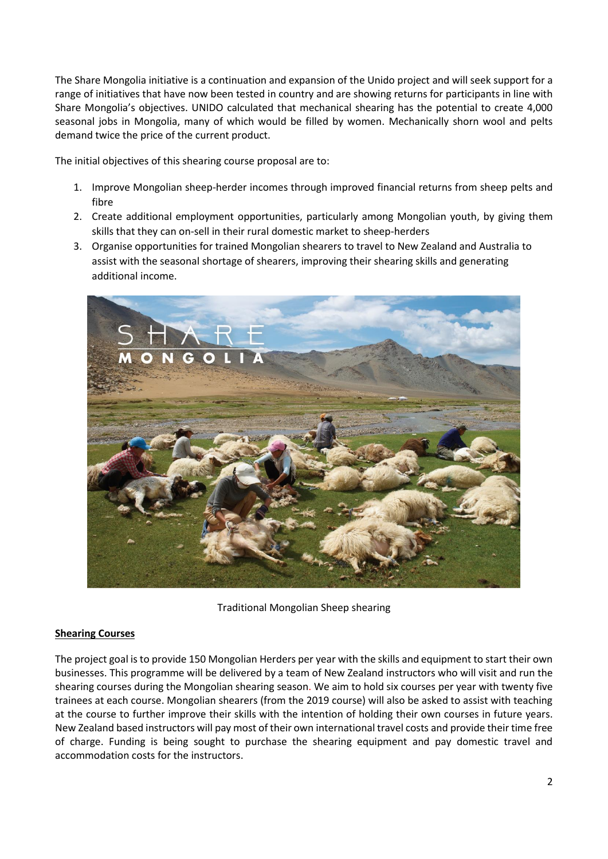The Share Mongolia initiative is a continuation and expansion of the Unido project and will seek support for a range of initiatives that have now been tested in country and are showing returns for participants in line with Share Mongolia's objectives. UNIDO calculated that mechanical shearing has the potential to create 4,000 seasonal jobs in Mongolia, many of which would be filled by women. Mechanically shorn wool and pelts demand twice the price of the current product.

The initial objectives of this shearing course proposal are to:

- 1. Improve Mongolian sheep-herder incomes through improved financial returns from sheep pelts and fibre
- 2. Create additional employment opportunities, particularly among Mongolian youth, by giving them skills that they can on-sell in their rural domestic market to sheep-herders
- 3. Organise opportunities for trained Mongolian shearers to travel to New Zealand and Australia to assist with the seasonal shortage of shearers, improving their shearing skills and generating additional income.



Traditional Mongolian Sheep shearing

#### **Shearing Courses**

The project goal is to provide 150 Mongolian Herders per year with the skills and equipment to start their own businesses. This programme will be delivered by a team of New Zealand instructors who will visit and run the shearing courses during the Mongolian shearing season. We aim to hold six courses per year with twenty five trainees at each course. Mongolian shearers (from the 2019 course) will also be asked to assist with teaching at the course to further improve their skills with the intention of holding their own courses in future years. New Zealand based instructors will pay most of their own international travel costs and provide their time free of charge. Funding is being sought to purchase the shearing equipment and pay domestic travel and accommodation costs for the instructors.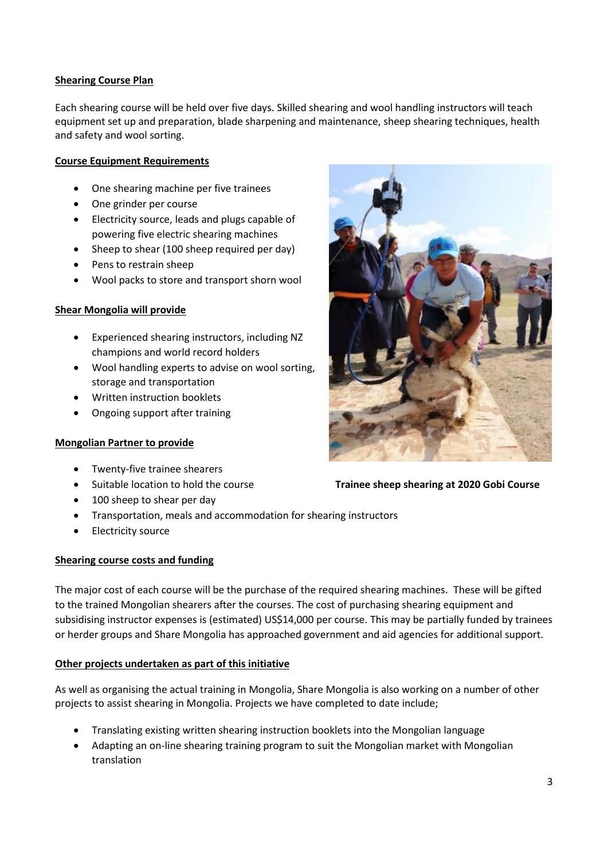## **Shearing Course Plan**

Each shearing course will be held over five days. Skilled shearing and wool handling instructors will teach equipment set up and preparation, blade sharpening and maintenance, sheep shearing techniques, health and safety and wool sorting.

## **Course Equipment Requirements**

- One shearing machine per five trainees
- One grinder per course
- Electricity source, leads and plugs capable of powering five electric shearing machines
- Sheep to shear (100 sheep required per day)
- Pens to restrain sheep
- Wool packs to store and transport shorn wool

## **Shear Mongolia will provide**

- Experienced shearing instructors, including NZ champions and world record holders
- Wool handling experts to advise on wool sorting, storage and transportation
- Written instruction booklets
- Ongoing support after training

#### **Mongolian Partner to provide**

- Twenty-five trainee shearers
- 
- 100 sheep to shear per day
- Transportation, meals and accommodation for shearing instructors
- Electricity source

#### **Shearing course costs and funding**

The major cost of each course will be the purchase of the required shearing machines. These will be gifted to the trained Mongolian shearers after the courses. The cost of purchasing shearing equipment and subsidising instructor expenses is (estimated) US\$14,000 per course. This may be partially funded by trainees or herder groups and Share Mongolia has approached government and aid agencies for additional support.

# **Other projects undertaken as part of this initiative**

As well as organising the actual training in Mongolia, Share Mongolia is also working on a number of other projects to assist shearing in Mongolia. Projects we have completed to date include;

- Translating existing written shearing instruction booklets into the Mongolian language
- Adapting an on-line shearing training program to suit the Mongolian market with Mongolian translation

# Suitable location to hold the course **Trainee sheep shearing at 2020 Gobi Course**